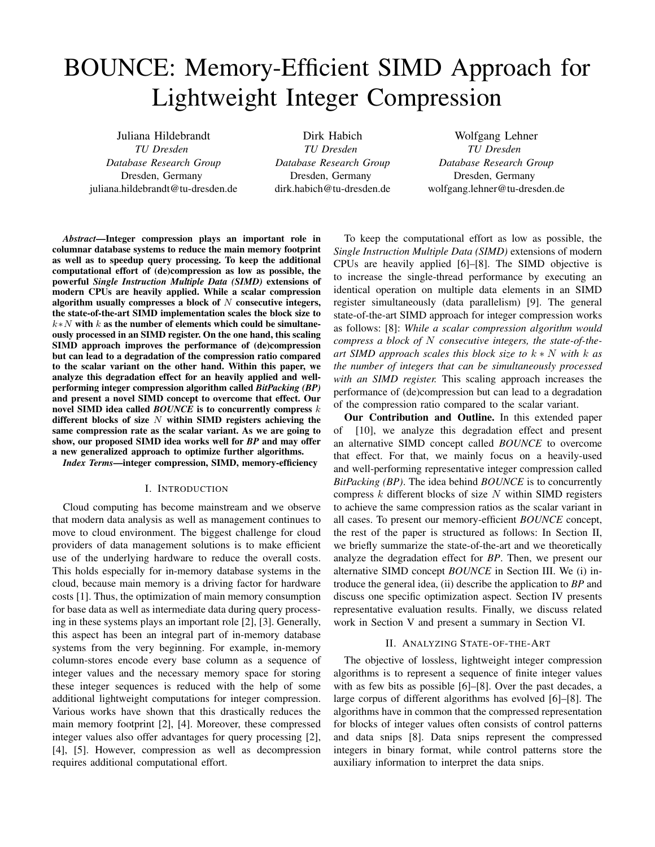# BOUNCE: Memory-Efficient SIMD Approach for Lightweight Integer Compression

Juliana Hildebrandt *TU Dresden Database Research Group* Dresden, Germany juliana.hildebrandt@tu-dresden.de

Dirk Habich *TU Dresden Database Research Group* Dresden, Germany dirk.habich@tu-dresden.de

Wolfgang Lehner *TU Dresden Database Research Group* Dresden, Germany wolfgang.lehner@tu-dresden.de

*Abstract*—Integer compression plays an important role in columnar database systems to reduce the main memory footprint as well as to speedup query processing. To keep the additional computational effort of (de)compression as low as possible, the powerful *Single Instruction Multiple Data (SIMD)* extensions of modern CPUs are heavily applied. While a scalar compression algorithm usually compresses a block of  $N$  consecutive integers, the state-of-the-art SIMD implementation scales the block size to  $k*N$  with k as the number of elements which could be simultaneously processed in an SIMD register. On the one hand, this scaling SIMD approach improves the performance of (de)compression but can lead to a degradation of the compression ratio compared to the scalar variant on the other hand. Within this paper, we analyze this degradation effect for an heavily applied and wellperforming integer compression algorithm called *BitPacking (BP)* and present a novel SIMD concept to overcome that effect. Our novel SIMD idea called *BOUNCE* is to concurrently compress k different blocks of size  $N$  within SIMD registers achieving the same compression rate as the scalar variant. As we are going to show, our proposed SIMD idea works well for *BP* and may offer a new generalized approach to optimize further algorithms.

*Index Terms*—integer compression, SIMD, memory-efficiency

#### I. INTRODUCTION

Cloud computing has become mainstream and we observe that modern data analysis as well as management continues to move to cloud environment. The biggest challenge for cloud providers of data management solutions is to make efficient use of the underlying hardware to reduce the overall costs. This holds especially for in-memory database systems in the cloud, because main memory is a driving factor for hardware costs [1]. Thus, the optimization of main memory consumption for base data as well as intermediate data during query processing in these systems plays an important role [2], [3]. Generally, this aspect has been an integral part of in-memory database systems from the very beginning. For example, in-memory column-stores encode every base column as a sequence of integer values and the necessary memory space for storing these integer sequences is reduced with the help of some additional lightweight computations for integer compression. Various works have shown that this drastically reduces the main memory footprint [2], [4]. Moreover, these compressed integer values also offer advantages for query processing [2], [4], [5]. However, compression as well as decompression requires additional computational effort.

To keep the computational effort as low as possible, the *Single Instruction Multiple Data (SIMD)* extensions of modern CPUs are heavily applied [6]–[8]. The SIMD objective is to increase the single-thread performance by executing an identical operation on multiple data elements in an SIMD register simultaneously (data parallelism) [9]. The general state-of-the-art SIMD approach for integer compression works as follows: [8]: *While a scalar compression algorithm would compress a block of* N *consecutive integers, the state-of-theart SIMD approach scales this block size to* k ∗ N *with* k *as the number of integers that can be simultaneously processed with an SIMD register.* This scaling approach increases the performance of (de)compression but can lead to a degradation of the compression ratio compared to the scalar variant.

Our Contribution and Outline. In this extended paper of [10], we analyze this degradation effect and present an alternative SIMD concept called *BOUNCE* to overcome that effect. For that, we mainly focus on a heavily-used and well-performing representative integer compression called *BitPacking (BP)*. The idea behind *BOUNCE* is to concurrently compress  $k$  different blocks of size  $N$  within SIMD registers to achieve the same compression ratios as the scalar variant in all cases. To present our memory-efficient *BOUNCE* concept, the rest of the paper is structured as follows: In Section II, we briefly summarize the state-of-the-art and we theoretically analyze the degradation effect for *BP*. Then, we present our alternative SIMD concept *BOUNCE* in Section III. We (i) introduce the general idea, (ii) describe the application to *BP* and discuss one specific optimization aspect. Section IV presents representative evaluation results. Finally, we discuss related work in Section V and present a summary in Section VI.

### II. ANALYZING STATE-OF-THE-ART

The objective of lossless, lightweight integer compression algorithms is to represent a sequence of finite integer values with as few bits as possible [6]–[8]. Over the past decades, a large corpus of different algorithms has evolved [6]–[8]. The algorithms have in common that the compressed representation for blocks of integer values often consists of control patterns and data snips [8]. Data snips represent the compressed integers in binary format, while control patterns store the auxiliary information to interpret the data snips.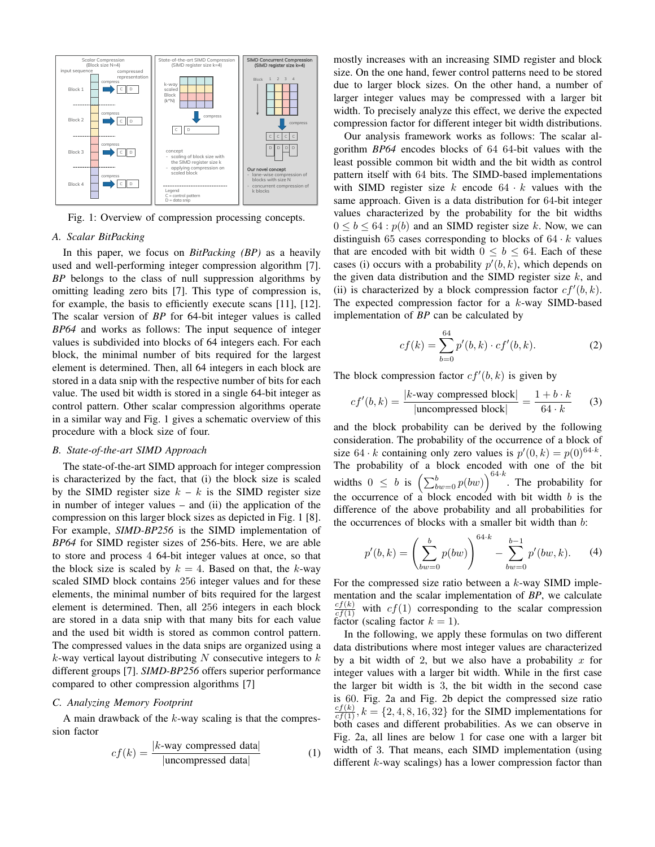

Fig. 1: Overview of compression processing concepts.

## *A. Scalar BitPacking*

In this paper, we focus on *BitPacking (BP)* as a heavily used and well-performing integer compression algorithm [7]. *BP* belongs to the class of null suppression algorithms by omitting leading zero bits [7]. This type of compression is, for example, the basis to efficiently execute scans [11], [12]. The scalar version of *BP* for 64-bit integer values is called *BP64* and works as follows: The input sequence of integer values is subdivided into blocks of 64 integers each. For each block, the minimal number of bits required for the largest element is determined. Then, all 64 integers in each block are stored in a data snip with the respective number of bits for each value. The used bit width is stored in a single 64-bit integer as control pattern. Other scalar compression algorithms operate in a similar way and Fig. 1 gives a schematic overview of this procedure with a block size of four.

#### *B. State-of-the-art SIMD Approach*

The state-of-the-art SIMD approach for integer compression is characterized by the fact, that (i) the block size is scaled by the SIMD register size  $k - k$  is the SIMD register size in number of integer values – and (ii) the application of the compression on this larger block sizes as depicted in Fig. 1 [8]. For example, *SIMD-BP256* is the SIMD implementation of *BP64* for SIMD register sizes of 256-bits. Here, we are able to store and process 4 64-bit integer values at once, so that the block size is scaled by  $k = 4$ . Based on that, the k-way scaled SIMD block contains 256 integer values and for these elements, the minimal number of bits required for the largest element is determined. Then, all 256 integers in each block are stored in a data snip with that many bits for each value and the used bit width is stored as common control pattern. The compressed values in the data snips are organized using a  $k$ -way vertical layout distributing N consecutive integers to  $k$ different groups [7]. *SIMD-BP256* offers superior performance compared to other compression algorithms [7]

#### *C. Analyzing Memory Footprint*

A main drawback of the  $k$ -way scaling is that the compression factor

$$
cf(k) = \frac{|k\text{-way compressed data}|}{|\text{uncompressed data}|}\tag{1}
$$

mostly increases with an increasing SIMD register and block size. On the one hand, fewer control patterns need to be stored due to larger block sizes. On the other hand, a number of larger integer values may be compressed with a larger bit width. To precisely analyze this effect, we derive the expected compression factor for different integer bit width distributions.

Our analysis framework works as follows: The scalar algorithm *BP64* encodes blocks of 64 64-bit values with the least possible common bit width and the bit width as control pattern itself with 64 bits. The SIMD-based implementations with SIMD register size  $k$  encode  $64 \cdot k$  values with the same approach. Given is a data distribution for 64-bit integer values characterized by the probability for the bit widths  $0 \leq b \leq 64$ :  $p(b)$  and an SIMD register size k. Now, we can distinguish 65 cases corresponding to blocks of  $64 \cdot k$  values that are encoded with bit width  $0 \leq b \leq 64$ . Each of these cases (i) occurs with a probability  $p'(b, k)$ , which depends on the given data distribution and the SIMD register size  $k$ , and (ii) is characterized by a block compression factor  $cf'(b, k)$ . The expected compression factor for a k-way SIMD-based implementation of *BP* can be calculated by

$$
cf(k) = \sum_{b=0}^{64} p'(b,k) \cdot cf'(b,k).
$$
 (2)

The block compression factor  $cf'(b, k)$  is given by

$$
cf'(b,k) = \frac{|k \text{-way compressed block}|}{|\text{uncompressed block}|} = \frac{1+b \cdot k}{64 \cdot k} \qquad (3)
$$

and the block probability can be derived by the following consideration. The probability of the occurrence of a block of size 64 · k containing only zero values is  $p'(0, k) = p(0)^{64 \cdot k}$ . The probability of a block encoded with one of the bit widths  $0 \leq b$  is  $\left(\sum_{bw=0}^{b} p(bw)\right)^{64 \cdot k}$ . The probability for the occurrence of a block encoded with bit width  $b$  is the difference of the above probability and all probabilities for the occurrences of blocks with a smaller bit width than b:

$$
p'(b,k) = \left(\sum_{bw=0}^{b} p(bw)\right)^{64 \cdot k} - \sum_{bw=0}^{b-1} p'(bw, k). \tag{4}
$$

For the compressed size ratio between a  $k$ -way SIMD implementation and the scalar implementation of *BP*, we calculate  $\frac{cf(k)}{cf(1)}$  with  $cf(1)$  corresponding to the scalar compression factor (scaling factor  $k = 1$ ).

In the following, we apply these formulas on two different data distributions where most integer values are characterized by a bit width of 2, but we also have a probability x for integer values with a larger bit width. While in the first case the larger bit width is 3, the bit width in the second case is 60. Fig. 2a and Fig. 2b depict the compressed size ratio  $\frac{cf(k)}{cf(1)}$ ,  $k = \{2, 4, 8, 16, 32\}$  for the SIMD implementations for both cases and different probabilities. As we can observe in Fig. 2a, all lines are below 1 for case one with a larger bit width of 3. That means, each SIMD implementation (using different *k*-way scalings) has a lower compression factor than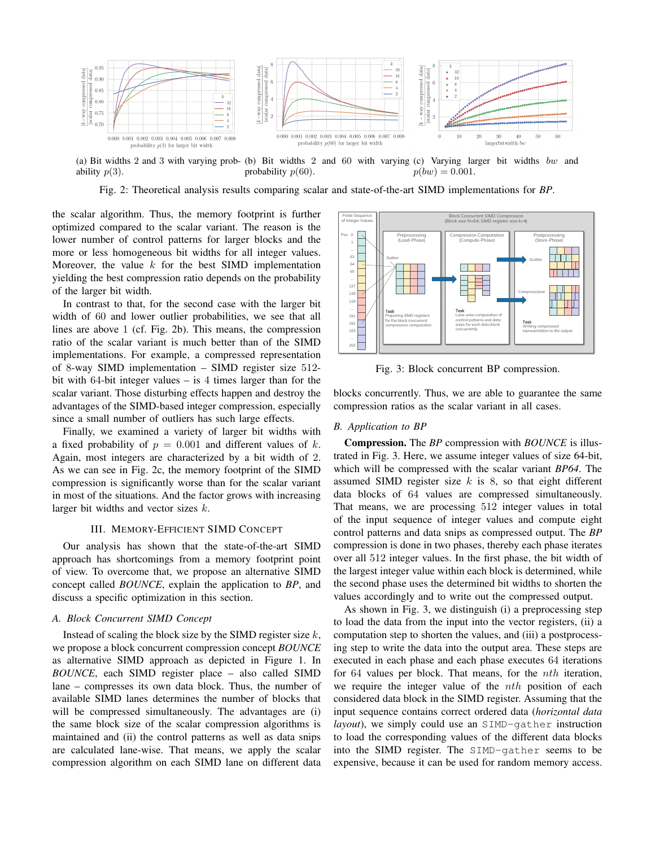

(a) Bit widths 2 and 3 with varying prob- (b) Bit widths 2 and 60 with varying (c) Varying larger bit widths bw and ability  $p(3)$ . probability  $p(60)$ .  $p(bw) = 0.001.$ 

Fig. 2: Theoretical analysis results comparing scalar and state-of-the-art SIMD implementations for *BP*.

the scalar algorithm. Thus, the memory footprint is further optimized compared to the scalar variant. The reason is the lower number of control patterns for larger blocks and the more or less homogeneous bit widths for all integer values. Moreover, the value  $k$  for the best SIMD implementation yielding the best compression ratio depends on the probability of the larger bit width.

In contrast to that, for the second case with the larger bit width of 60 and lower outlier probabilities, we see that all lines are above 1 (cf. Fig. 2b). This means, the compression ratio of the scalar variant is much better than of the SIMD implementations. For example, a compressed representation of 8-way SIMD implementation – SIMD register size 512 bit with 64-bit integer values – is 4 times larger than for the scalar variant. Those disturbing effects happen and destroy the advantages of the SIMD-based integer compression, especially since a small number of outliers has such large effects.

Finally, we examined a variety of larger bit widths with a fixed probability of  $p = 0.001$  and different values of k. Again, most integers are characterized by a bit width of 2. As we can see in Fig. 2c, the memory footprint of the SIMD compression is significantly worse than for the scalar variant in most of the situations. And the factor grows with increasing larger bit widths and vector sizes k.

# III. MEMORY-EFFICIENT SIMD CONCEPT

Our analysis has shown that the state-of-the-art SIMD approach has shortcomings from a memory footprint point of view. To overcome that, we propose an alternative SIMD concept called *BOUNCE*, explain the application to *BP*, and discuss a specific optimization in this section.

### *A. Block Concurrent SIMD Concept*

Instead of scaling the block size by the SIMD register size  $k$ , we propose a block concurrent compression concept *BOUNCE* as alternative SIMD approach as depicted in Figure 1. In *BOUNCE*, each SIMD register place – also called SIMD lane – compresses its own data block. Thus, the number of available SIMD lanes determines the number of blocks that will be compressed simultaneously. The advantages are (i) the same block size of the scalar compression algorithms is maintained and (ii) the control patterns as well as data snips are calculated lane-wise. That means, we apply the scalar compression algorithm on each SIMD lane on different data



Fig. 3: Block concurrent BP compression.

blocks concurrently. Thus, we are able to guarantee the same compression ratios as the scalar variant in all cases.

#### *B. Application to BP*

Compression. The *BP* compression with *BOUNCE* is illustrated in Fig. 3. Here, we assume integer values of size 64-bit, which will be compressed with the scalar variant *BP64*. The assumed SIMD register size  $k$  is 8, so that eight different data blocks of 64 values are compressed simultaneously. That means, we are processing 512 integer values in total of the input sequence of integer values and compute eight control patterns and data snips as compressed output. The *BP* compression is done in two phases, thereby each phase iterates over all 512 integer values. In the first phase, the bit width of the largest integer value within each block is determined, while the second phase uses the determined bit widths to shorten the values accordingly and to write out the compressed output.

As shown in Fig. 3, we distinguish (i) a preprocessing step to load the data from the input into the vector registers, (ii) a computation step to shorten the values, and (iii) a postprocessing step to write the data into the output area. These steps are executed in each phase and each phase executes 64 iterations for 64 values per block. That means, for the *nth* iteration, we require the integer value of the *nth* position of each considered data block in the SIMD register. Assuming that the input sequence contains correct ordered data (*horizontal data layout*), we simply could use an SIMD-gather instruction to load the corresponding values of the different data blocks into the SIMD register. The SIMD-gather seems to be expensive, because it can be used for random memory access.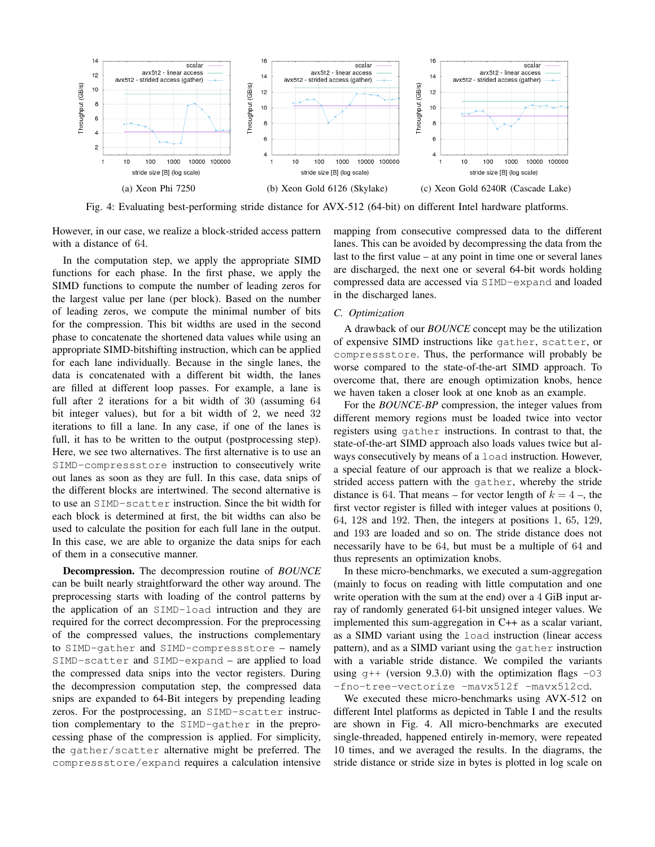

Fig. 4: Evaluating best-performing stride distance for AVX-512 (64-bit) on different Intel hardware platforms.

However, in our case, we realize a block-strided access pattern with a distance of 64.

In the computation step, we apply the appropriate SIMD functions for each phase. In the first phase, we apply the SIMD functions to compute the number of leading zeros for the largest value per lane (per block). Based on the number of leading zeros, we compute the minimal number of bits for the compression. This bit widths are used in the second phase to concatenate the shortened data values while using an appropriate SIMD-bitshifting instruction, which can be applied for each lane individually. Because in the single lanes, the data is concatenated with a different bit width, the lanes are filled at different loop passes. For example, a lane is full after 2 iterations for a bit width of 30 (assuming 64 bit integer values), but for a bit width of 2, we need 32 iterations to fill a lane. In any case, if one of the lanes is full, it has to be written to the output (postprocessing step). Here, we see two alternatives. The first alternative is to use an SIMD-compressstore instruction to consecutively write out lanes as soon as they are full. In this case, data snips of the different blocks are intertwined. The second alternative is to use an SIMD-scatter instruction. Since the bit width for each block is determined at first, the bit widths can also be used to calculate the position for each full lane in the output. In this case, we are able to organize the data snips for each of them in a consecutive manner.

Decompression. The decompression routine of *BOUNCE* can be built nearly straightforward the other way around. The preprocessing starts with loading of the control patterns by the application of an SIMD-load intruction and they are required for the correct decompression. For the preprocessing of the compressed values, the instructions complementary to SIMD-gather and SIMD-compressstore – namely SIMD-scatter and SIMD-expand – are applied to load the compressed data snips into the vector registers. During the decompression computation step, the compressed data snips are expanded to 64-Bit integers by prepending leading zeros. For the postprocessing, an SIMD-scatter instruction complementary to the SIMD-gather in the preprocessing phase of the compression is applied. For simplicity, the gather/scatter alternative might be preferred. The compressstore/expand requires a calculation intensive mapping from consecutive compressed data to the different lanes. This can be avoided by decompressing the data from the last to the first value – at any point in time one or several lanes are discharged, the next one or several 64-bit words holding compressed data are accessed via SIMD-expand and loaded in the discharged lanes.

#### *C. Optimization*

A drawback of our *BOUNCE* concept may be the utilization of expensive SIMD instructions like gather, scatter, or compressstore. Thus, the performance will probably be worse compared to the state-of-the-art SIMD approach. To overcome that, there are enough optimization knobs, hence we haven taken a closer look at one knob as an example.

For the *BOUNCE-BP* compression, the integer values from different memory regions must be loaded twice into vector registers using gather instructions. In contrast to that, the state-of-the-art SIMD approach also loads values twice but always consecutively by means of a load instruction. However, a special feature of our approach is that we realize a blockstrided access pattern with the gather, whereby the stride distance is 64. That means – for vector length of  $k = 4$  –, the first vector register is filled with integer values at positions 0, 64, 128 and 192. Then, the integers at positions 1, 65, 129, and 193 are loaded and so on. The stride distance does not necessarily have to be 64, but must be a multiple of 64 and thus represents an optimization knobs.

In these micro-benchmarks, we executed a sum-aggregation (mainly to focus on reading with little computation and one write operation with the sum at the end) over a 4 GiB input array of randomly generated 64-bit unsigned integer values. We implemented this sum-aggregation in C++ as a scalar variant, as a SIMD variant using the load instruction (linear access pattern), and as a SIMD variant using the gather instruction with a variable stride distance. We compiled the variants using  $q++$  (version 9.3.0) with the optimization flags  $-03$ -fno-tree-vectorize -mavx512f -mavx512cd.

We executed these micro-benchmarks using AVX-512 on different Intel platforms as depicted in Table I and the results are shown in Fig. 4. All micro-benchmarks are executed single-threaded, happened entirely in-memory, were repeated 10 times, and we averaged the results. In the diagrams, the stride distance or stride size in bytes is plotted in log scale on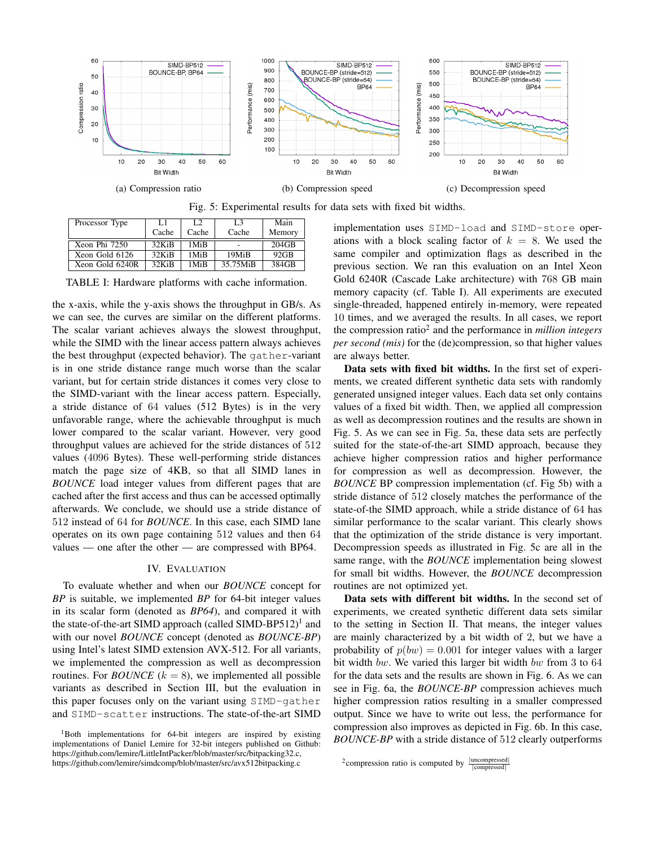

Fig. 5: Experimental results for data sets with fixed bit widths.

| Processor Type  | L1       | L2               | L <sub>3</sub> | Main     |
|-----------------|----------|------------------|----------------|----------|
|                 | Cache    | Cache            | Cache          | Memory   |
| Xeon Phi 7250   | 32KiR    | 1Mi <sub>R</sub> |                | $204$ GB |
| Xeon Gold 6126  | $32$ KiB | 1Mi <sub>R</sub> | 19MiB          | $92$ GB  |
| Xeon Gold 6240R | $32$ KiB | 1Mi <sub>R</sub> | 35.75MiB       | 384GB    |

TABLE I: Hardware platforms with cache information.

the x-axis, while the y-axis shows the throughput in GB/s. As we can see, the curves are similar on the different platforms. The scalar variant achieves always the slowest throughput, while the SIMD with the linear access pattern always achieves the best throughput (expected behavior). The gather-variant is in one stride distance range much worse than the scalar variant, but for certain stride distances it comes very close to the SIMD-variant with the linear access pattern. Especially, a stride distance of 64 values (512 Bytes) is in the very unfavorable range, where the achievable throughput is much lower compared to the scalar variant. However, very good throughput values are achieved for the stride distances of 512 values (4096 Bytes). These well-performing stride distances match the page size of 4KB, so that all SIMD lanes in *BOUNCE* load integer values from different pages that are cached after the first access and thus can be accessed optimally afterwards. We conclude, we should use a stride distance of 512 instead of 64 for *BOUNCE*. In this case, each SIMD lane operates on its own page containing 512 values and then 64 values — one after the other — are compressed with BP64.

#### IV. EVALUATION

To evaluate whether and when our *BOUNCE* concept for *BP* is suitable, we implemented *BP* for 64-bit integer values in its scalar form (denoted as *BP64*), and compared it with the state-of-the-art SIMD approach (called SIMD-BP512)<sup>1</sup> and with our novel *BOUNCE* concept (denoted as *BOUNCE-BP*) using Intel's latest SIMD extension AVX-512. For all variants, we implemented the compression as well as decompression routines. For *BOUNCE*  $(k = 8)$ , we implemented all possible variants as described in Section III, but the evaluation in this paper focuses only on the variant using SIMD-gather and SIMD-scatter instructions. The state-of-the-art SIMD implementation uses SIMD-load and SIMD-store operations with a block scaling factor of  $k = 8$ . We used the same compiler and optimization flags as described in the previous section. We ran this evaluation on an Intel Xeon Gold 6240R (Cascade Lake architecture) with 768 GB main memory capacity (cf. Table I). All experiments are executed single-threaded, happened entirely in-memory, were repeated 10 times, and we averaged the results. In all cases, we report the compression ratio<sup>2</sup> and the performance in *million integers per second (mis)* for the (de)compression, so that higher values are always better.

Data sets with fixed bit widths. In the first set of experiments, we created different synthetic data sets with randomly generated unsigned integer values. Each data set only contains values of a fixed bit width. Then, we applied all compression as well as decompression routines and the results are shown in Fig. 5. As we can see in Fig. 5a, these data sets are perfectly suited for the state-of-the-art SIMD approach, because they achieve higher compression ratios and higher performance for compression as well as decompression. However, the *BOUNCE* BP compression implementation (cf. Fig 5b) with a stride distance of 512 closely matches the performance of the state-of-the SIMD approach, while a stride distance of 64 has similar performance to the scalar variant. This clearly shows that the optimization of the stride distance is very important. Decompression speeds as illustrated in Fig. 5c are all in the same range, with the *BOUNCE* implementation being slowest for small bit widths. However, the *BOUNCE* decompression routines are not optimized yet.

Data sets with different bit widths. In the second set of experiments, we created synthetic different data sets similar to the setting in Section II. That means, the integer values are mainly characterized by a bit width of 2, but we have a probability of  $p(bw) = 0.001$  for integer values with a larger bit width bw. We varied this larger bit width bw from 3 to 64 for the data sets and the results are shown in Fig. 6. As we can see in Fig. 6a, the *BOUNCE-BP* compression achieves much higher compression ratios resulting in a smaller compressed output. Since we have to write out less, the performance for compression also improves as depicted in Fig. 6b. In this case, *BOUNCE-BP* with a stride distance of 512 clearly outperforms

<sup>&</sup>lt;sup>1</sup>Both implementations for 64-bit integers are inspired by existing implementations of Daniel Lemire for 32-bit integers published on Github: https://github.com/lemire/LittleIntPacker/blob/master/src/bitpacking32.c, https://github.com/lemire/simdcomp/blob/master/src/avx512bitpacking.c

<sup>&</sup>lt;sup>2</sup> compression ratio is computed by  $\frac{|\text{uncompressed}|}{|\text{compressed}|}$